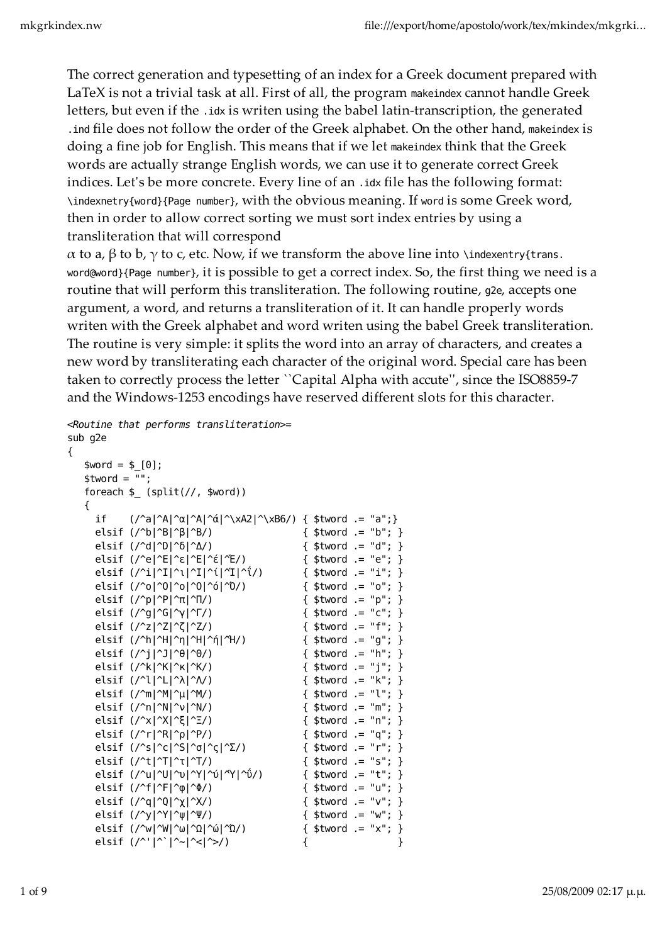{

The correct generation and typesetting of an index for a Greek document prepared with LaTeX is not a trivial task at all. First of all, the program makeindex cannot handle Greek letters, but even if the .idx is writen using the babel latin-transcription, the generated .ind file does not follow the order of the Greek alphabet. On the other hand, makeindex is doing a fine job for English. This means that if we let makeindex think that the Greek words are actually strange English words, we can use it to generate correct Greek indices. Let's be more concrete. Every line of an .idx file has the following format: \indexnetry{word}{Page number}, with the obvious meaning. If word is some Greek word, then in order to allow correct sorting we must sort index entries by using a transliteration that will correspond

α to a, β to b, γ to c, etc. Now, if we transform the above line into \indexentry{trans. word@word}{Page number}, it is possible to get a correct index. So, the first thing we need is a routine that will perform this transliteration. The following routine, g2e, accepts one argument, a word, and returns a transliteration of it. It can handle properly words writen with the Greek alphabet and word writen using the babel Greek transliteration. The routine is very simple: it splits the word into an array of characters, and creates a new word by transliterating each character of the original word. Special care has been taken to correctly process the letter ``Capital Alpha with accuteʹʹ, since the ISO8859-7 and the Windows-1253 encodings have reserved different slots for this character.

```
<Routine that performs transliteration>=
sub g2e
```

```
$word = $ [0];$tword = "";foreach \$ (split(//, $word))
    {
      if (\frac{\alpha}{\alpha}^{\alpha}|\alpha|^{\alpha}|\alpha|^{\alpha} (xA2|^\xB6/) { $tword .= "a";}
      elsif (\frac{\triangle}{b} \mid \hat{B} \mid \hat{B}) ($tword .= "b"; }
 elsif (/^d|^D|^δ|^Δ/) { $tword .= "d"; } 
 elsif (/^e|^E|^ε|^Ε|^έ|^Έ/) { $tword .= "e"; }
 elsif (/^i|^I|^ι|^Ι|^ί|^Ί|^ΐ/) { $tword .= "i"; }
       elsif (/^o|^O|^ο|^Ο|^ό|^Ό/) { $tword .= "o"; } 
      elsif (\frac{\gamma}{p}|\hat{P}|\hat{T}|/\hat{T}) { $tword .= "p"; }
      elsif (\frac{q}{q}^{\alpha}|\mathbf{G}|^{\alpha}|\mathbf{G}) ($tword .= "c"; }
      elsif (|2|2|2|2|) { $tword .= "f"; }
       elsif (/^h|^H|^η|^Η|^ή|^Ή/) { $tword .= "g"; }
      elsif (\frac{1}{2} | 0|^{6} | 0) { $tword .= "h"; }
      elsif (/^k|^K|^K/) { $tword .= "j"; }
      elsif (|^{\wedge}l|^{\wedge}l|^{\wedge}N) { $tword .= "k"; }
      elsif (\frac{m}{\text{min}}^k | \hat{u}|^N) { $tword .= "l"; }
      elsif (\frac{m}{\nu}^N)^N { $tword .= "m"; }
      elsif (\frac{\sqrt{x}}{2})^{2} = \frac{\sqrt{x}}{2} = \frac{\sqrt{x}}{2} = \frac{\sqrt{x}}{2} = \frac{\sqrt{x}}{2} = \frac{\sqrt{x}}{2} = \frac{\sqrt{x}}{2} = \frac{\sqrt{x}}{2} = \frac{\sqrt{x}}{2} = \frac{\sqrt{x}}{2} = \frac{\sqrt{x}}{2} = \frac{\sqrt{x}}{2} = \frac{\sqrt{x}}{2} = \frac{\sqrt{x}}{2} = \frac{\sqrt{x}}{2} = \ elsif (/^r|^R|^ρ|^Ρ/) { $tword .= "q"; }
 elsif (/^s|^c|^S|^σ|^ς|^Σ/) { $tword .= "r"; }
      elsif (\frac{\text{at}}{\text{at}}^T)^T (\frac{\text{at}}{\text{at}} = "s"; }
       elsif (/^u|^U|^υ|^Υ|^ύ|^Ύ|^ΰ/) { $tword .= "t"; }
      elsif (\frac{\text{f}}{\text{f}}\text{f}^{\text{f}}\text{f}^{\text{f}}\text{f}^{\text{f}}\text{f}^{\text{f}}\text{f}^{\text{f}}\text{f}^{\text{f}}\text{f}^{\text{f}}) { $tword .= "u"; }
      elsif (y \mid y) = y + z<br>elsif (y \mid \neg Q \mid \neg \chi \mid \neg X) { $tword .= "v"; }
      elsif (\frac{\gamma}{\psi}|\psi| \le \psi) { $tword .= "w"; }<br>elsif (\frac{\gamma}{\psi}|\psi| \le \psi) { $tword .= "x"; }
      elsif (/^w|^W|^ω|^Ω|^ώ|^Ώ/) \frac{1}{\pi} elsif (/^'|^`|^~|^<|^>/) { }
```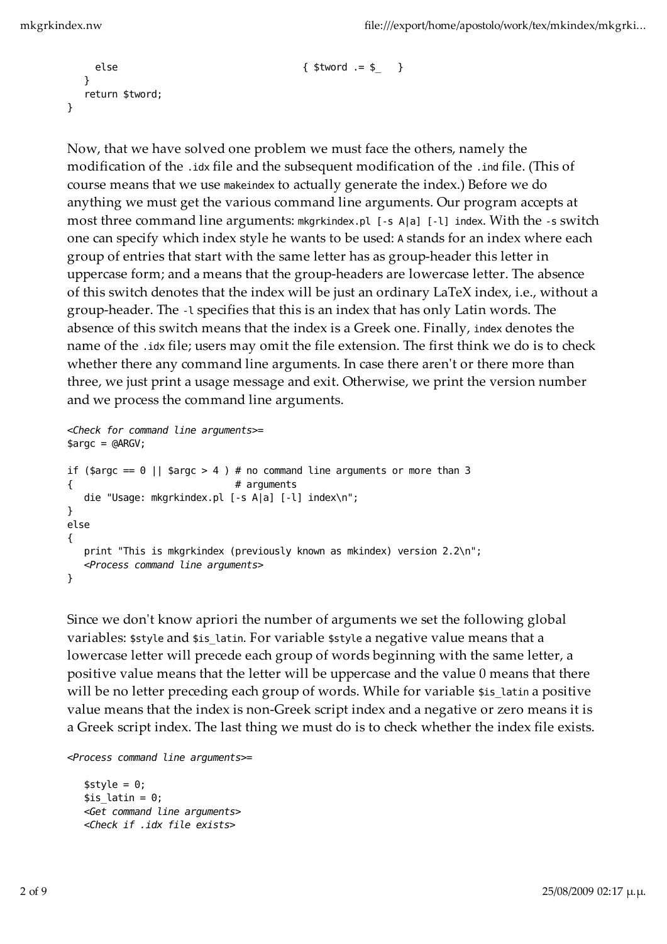```
 else { $tword .= $_ }
  }
  return $tword;
}
```
Now, that we have solved one problem we must face the others, namely the modification of the .idx file and the subsequent modification of the .ind file. (This of course means that we use makeindex to actually generate the index.) Before we do anything we must get the various command line arguments. Our program accepts at most three command line arguments: mkgrkindex.pl [-s A|a] [-l] index. With the -s switch one can specify which index style he wants to be used: A stands for an index where each group of entries that start with the same letter has as group-header this letter in uppercase form; and a means that the group-headers are lowercase letter. The absence of this switch denotes that the index will be just an ordinary LaTeX index, i.e., without a group-header. The -l specifies that this is an index that has only Latin words. The absence of this switch means that the index is a Greek one. Finally, index denotes the name of the .idx file; users may omit the file extension. The first think we do is to check whether there any command line arguments. In case there aren't or there more than three, we just print a usage message and exit. Otherwise, we print the version number and we process the command line arguments.

```
<Check for command line arguments>=
\text{~3}argc = @ARGV;
if ($argc == 0 || $argc > 4 ) # no command line arguments or more than 3
{ # arguments
   die "Usage: mkgrkindex.pl [-s A|a] [-l] index\n";
}
else
{
   print "This is mkgrkindex (previously known as mkindex) version 2.2\n";
   <Process command line arguments>
}
```
Since we don't know apriori the number of arguments we set the following global variables: \$style and \$is latin. For variable \$style a negative value means that a lowercase letter will precede each group of words beginning with the same letter, a positive value means that the letter will be uppercase and the value 0 means that there will be no letter preceding each group of words. While for variable \$is\_latin a positive value means that the index is non-Greek script index and a negative or zero means it is a Greek script index. The last thing we must do is to check whether the index file exists.

<Process command line arguments>=

 $$style = 0;$  $$is$  latin = 0; <Get command line arguments> <Check if .idx file exists>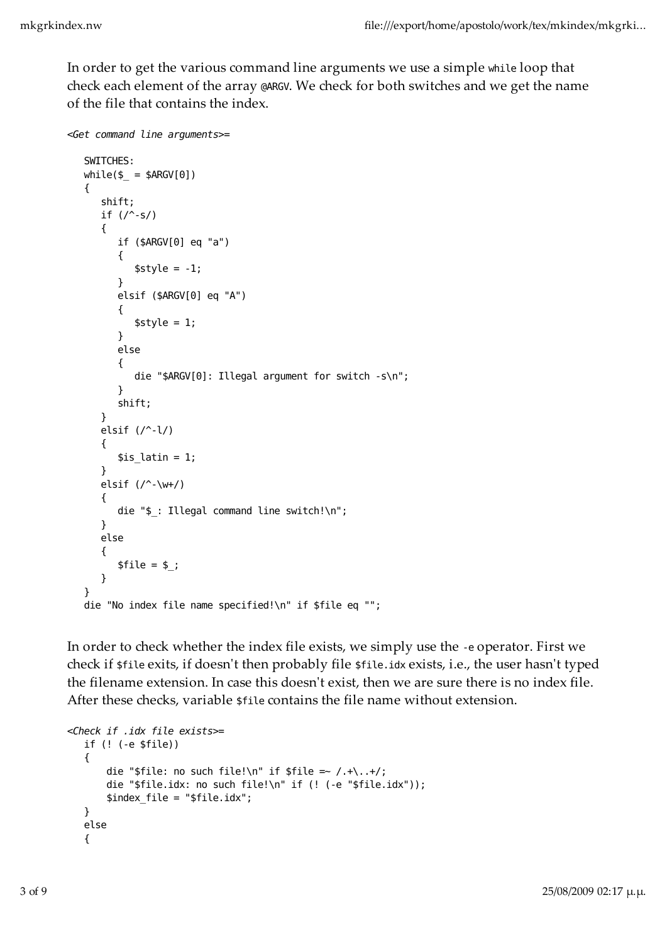In order to get the various command line arguments we use a simple while loop that check each element of the array @ARGV. We check for both switches and we get the name of the file that contains the index.

```
<Get command line arguments>=
    SWITCHES: 
   while \$ = $ARGV[0]) { 
        shift;
       if (\wedge-s/)
        {
           if ($ARGV[0] eq "a")
           {
              $style = -1; }
           elsif ($ARGV[0] eq "A")
           {
              $style = 1; }
           else
           {
              die "$ARGV[0]: Illegal argument for switch -s\n";
           }
           shift; 
        }
        elsif (/^-l/)
        {
          $is latin = 1;
        }
       elsif (\wedge^2-\wedge^2)+\wedge^2 {
          die "$ : Illegal command line switch!\n";
        }
        else
        {
          $file = $ ;
        } 
    } 
    die "No index file name specified!\n" if $file eq "";
```
In order to check whether the index file exists, we simply use the -e operator. First we check if \$file exits, if doesn't then probably file \$file.idx exists, i.e., the user hasn't typed the filename extension. In case this doesn't exist, then we are sure there is no index file. After these checks, variable \$file contains the file name without extension.

```
<Check if .idx file exists>=
    if (! (-e $file))
    {
       die "$file: no such file!\n" if $file =~ /.+\..+/;
        die "$file.idx: no such file!\n" if (! (-e "$file.idx"));
        $index_file = "$file.idx";
    }
    else
    {
```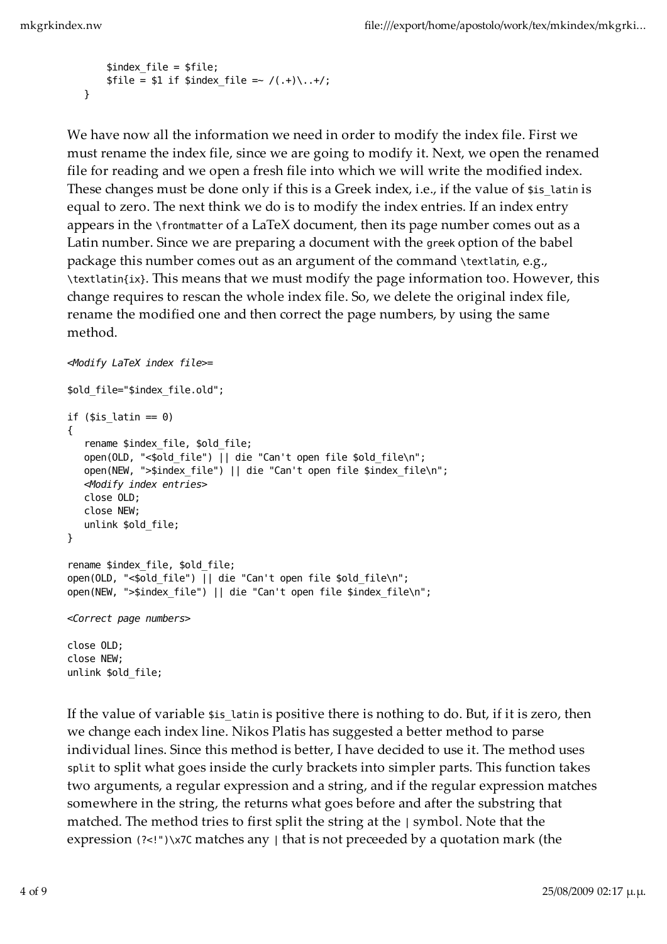```
 $index_file = $file;
    $file = $1 if $index file = ~/(.+)\,.+/; }
```
We have now all the information we need in order to modify the index file. First we must rename the index file, since we are going to modify it. Next, we open the renamed file for reading and we open a fresh file into which we will write the modified index. These changes must be done only if this is a Greek index, i.e., if the value of \$is\_latin is equal to zero. The next think we do is to modify the index entries. If an index entry appears in the \frontmatter of a LaTeX document, then its page number comes out as a Latin number. Since we are preparing a document with the greek option of the babel package this number comes out as an argument of the command \textlatin, e.g., \textlatin{ix}. This means that we must modify the page information too. However, this change requires to rescan the whole index file. So, we delete the original index file, rename the modified one and then correct the page numbers, by using the same method.

```
<Modify LaTeX index file>=
$old_file="$index_file.old";
if ($is latin == 0)
{
   rename $index file, $old file;
    open(OLD, "<$old_file") || die "Can't open file $old_file\n";
    open(NEW, ">$index_file") || die "Can't open file $index_file\n";
   <Modify index entries>
    close OLD;
    close NEW;
    unlink $old_file;
} 
rename $index file, $old file;
open(OLD, "<$old file") || die "Can't open file $old file\n";
open(NEW, ">$index file") || die "Can't open file $index file\n";
<Correct page numbers>
close OLD;
close NEW;
unlink $old_file;
```
If the value of variable \$15 latin is positive there is nothing to do. But, if it is zero, then we change each index line. Nikos Platis has suggested a better method to parse individual lines. Since this method is better, I have decided to use it. The method uses split to split what goes inside the curly brackets into simpler parts. This function takes two arguments, a regular expression and a string, and if the regular expression matches somewhere in the string, the returns what goes before and after the substring that matched. The method tries to first split the string at the | symbol. Note that the expression (?<!")\x7C matches any | that is not preceeded by a quotation mark (the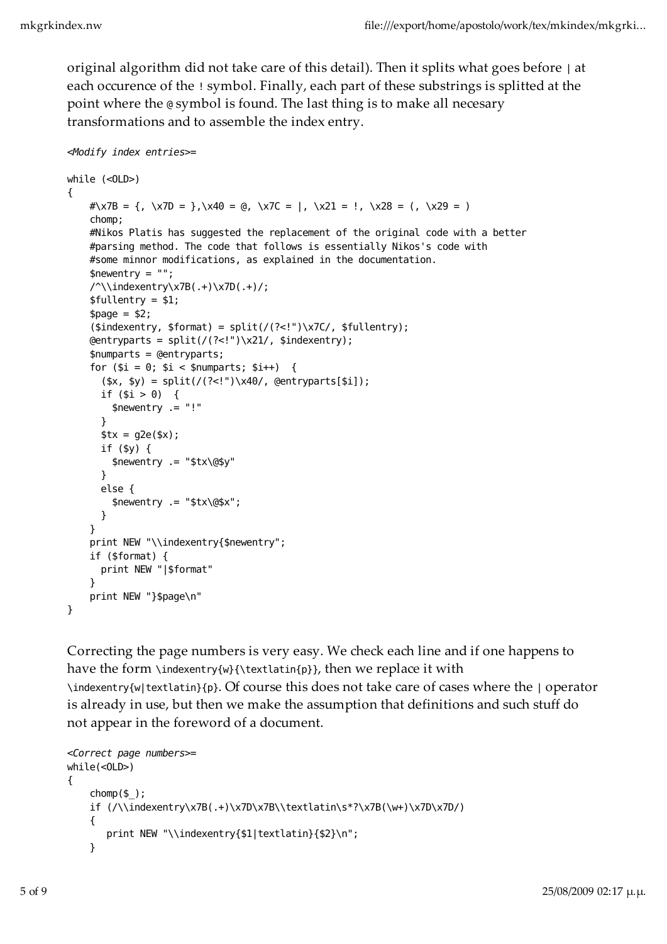original algorithm did not take care of this detail). Then it splits what goes before | at each occurence of the ! symbol. Finally, each part of these substrings is splitted at the point where the @ symbol is found. The last thing is to make all necesary transformations and to assemble the index entry.

```
<Modify index entries>=
while (<OLD>)
{
    \# \x7B = \{, \x7D = \}, \x40 = \emptyset, \x7C = |, \x21 = |, \x28 = |, \x29 = | chomp;
     #Nikos Platis has suggested the replacement of the original code with a better
     #parsing method. The code that follows is essentially Nikos's code with
     #some minnor modifications, as explained in the documentation.
    $newentry = ""; /^\\indexentry\x7B(.+)\x7D(.+)/;
     $fullentry = $1;
    space = $2;(\text{sindexentry}, \text{format}) = \text{split}((? < !")\x7C/, \text{fullentry};
    Qentryparts = split///? < !")\x21/, $indexentry);
     $numparts = @entryparts;
    for (\$i = 0; \$i < $numparts; \$i++) {
      (\$x, \$y) = split///? < !"\) \x40/, @entryparts[$i]);
      if (\$i > 0) {
         $newentry .= "!"
       }
      $tx = g2e ($x)$; if ($y) {
         $newentry .= "$tx\@$y"
       }
       else {
         $newentry .= "$tx\@$x";
       }
     }
     print NEW "\\indexentry{$newentry";
     if ($format) {
       print NEW "|$format"
     }
     print NEW "}$page\n"
}
```
Correcting the page numbers is very easy. We check each line and if one happens to have the form \indexentry{w}{\textlatin{p}}, then we replace it with \indexentry{w|textlatin}{p}. Of course this does not take care of cases where the | operator is already in use, but then we make the assumption that definitions and such stuff do not appear in the foreword of a document.

```
<Correct page numbers>=
while(<OLD>)
{
    chomp(S):
     if (/\\indexentry\x7B(.+)\x7D\x7B\\textlatin\s*?\x7B(\w+)\x7D\x7D/)
     {
       print NEW "\\indexentry{$1|textlatin}{$2}\n";
     }
```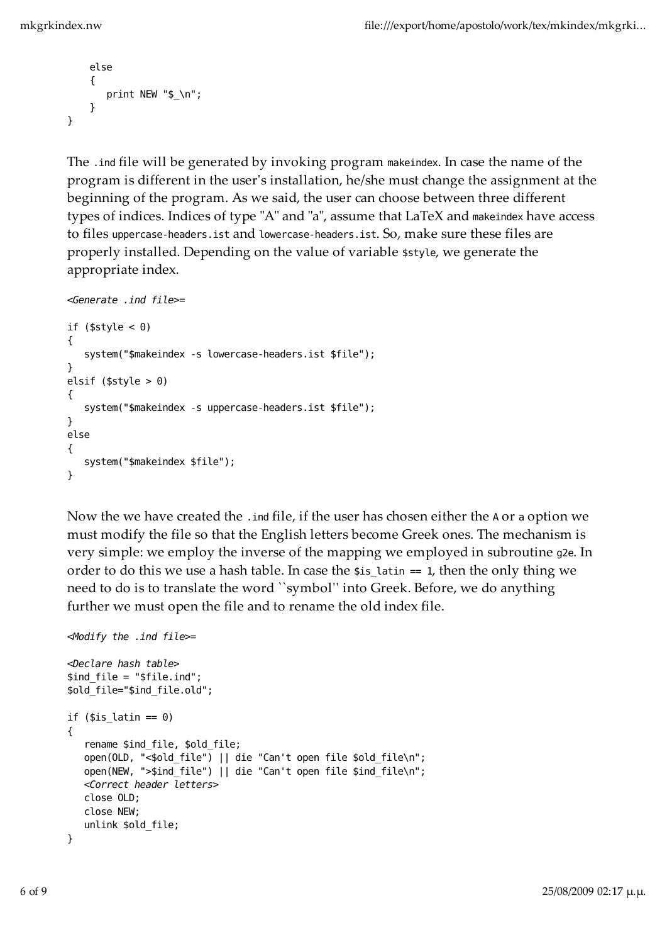```
 else
      {
        print NEW "$ \n";
      }
}
```
The .ind file will be generated by invoking program makeindex. In case the name of the program is different in the userʹs installation, he/she must change the assignment at the beginning of the program. As we said, the user can choose between three different types of indices. Indices of type "A" and "a", assume that LaTeX and makeindex have access to files uppercase-headers.ist and lowercase-headers.ist. So, make sure these files are properly installed. Depending on the value of variable \$style, we generate the appropriate index.

```
<Generate .ind file>=
if ($style < 0)
{
    system("$makeindex -s lowercase-headers.ist $file");
}
elsif ($style > 0)
{
    system("$makeindex -s uppercase-headers.ist $file");
}
else
{
    system("$makeindex $file");
}
```
Now the we have created the .ind file, if the user has chosen either the A or a option we must modify the file so that the English letters become Greek ones. The mechanism is very simple: we employ the inverse of the mapping we employed in subroutine g2e. In order to do this we use a hash table. In case the  $\sin = 1$ , then the only thing we need to do is to translate the word "symbol" into Greek. Before, we do anything further we must open the file and to rename the old index file.

```
<Modify the .ind file>=
```

```
<Declare hash table>
$ind_file = "$file.ind";
$old_file="$ind_file.old";
if ($is latin == 0)
{
   rename $ind file, $old file;
   open(OLD, "<$old file") || die "Can't open file $old file\n";
    open(NEW, ">$ind_file") || die "Can't open file $ind_file\n";
    <Correct header letters>
    close OLD;
    close NEW;
    unlink $old_file;
}
```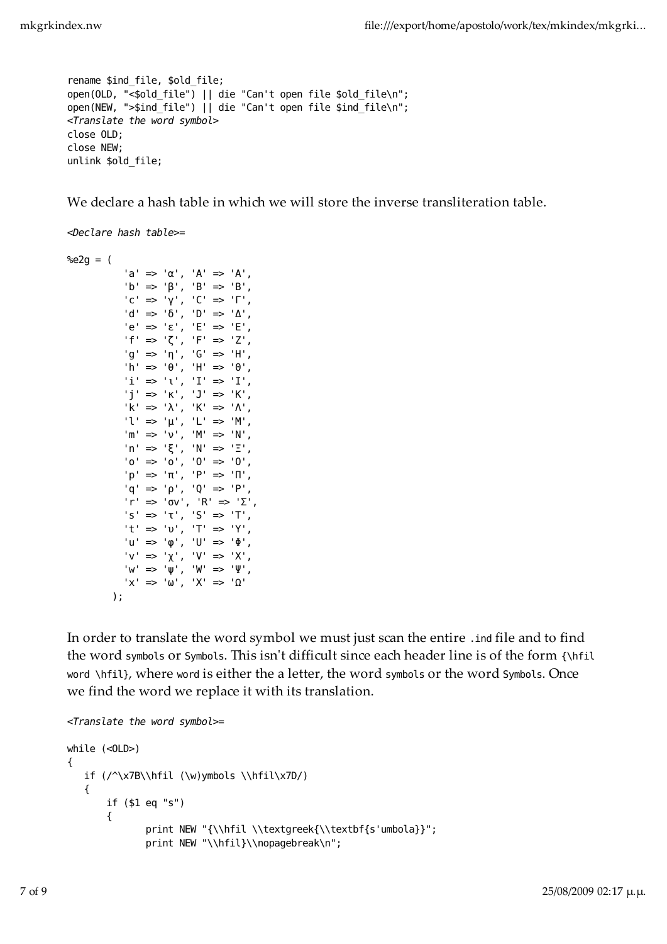```
rename $ind file, $old file;
open(OLD, "<$old file") || die "Can't open file $old file\n";
open(NEW, ">$ind file") || die "Can't open file $ind file\n";
<Translate the word symbol>
close OLD;
close NEW;
unlink $old_file;
```
We declare a hash table in which we will store the inverse transliteration table.

```
<Declare hash table>=
%e2g = ('a' \implies 'α', 'A' \implies 'A','b' => 'β', 'B' => 'B',
               'c' => 'γ', 'C' => 'Γ',
              'd' \implies '0', 'D' \implies 'A','e' \Rightarrow 'ε', 'E' \Rightarrow 'E',
               'f' => 'ζ', 'F' => 'Ζ',
               'g' => 'η', 'G' => 'Η',
              'h' => 'θ', 'H' => 'θ',
              \mathsf{`i'} \Rightarrow \mathsf{`v'}, \mathsf{`I'} \Rightarrow \mathsf{`I'},'j' \implies 'K', 'J' \implies 'K','k' => '\lambda', 'K' => '\Lambda',
              'l' \Rightarrow 'μ', 'L' \Rightarrow 'M',
               'm' => 'ν', 'M' => 'Ν',
               'n' => 'ξ', 'N' => 'Ξ',
              'o' \implies 'o', '0' \implies '0', 'p' => 'π', 'P' => 'Π',
              'q' \implies 'p', 'Q' \implies 'P','r' => 'σv', 'R' => '\Sigma',
               's' => 'τ', 'S' => 'Τ',
               't' => 'υ', 'T' => 'Υ',
               'u' => 'φ', 'U' => 'Φ',
              'v' => 'χ', 'V' => 'X',
              'w' \implies 'w', 'W' \implies 'W','x' \Rightarrow 'w', 'X' \Rightarrow 'Q' );
```
In order to translate the word symbol we must just scan the entire .ind file and to find the word symbols or Symbols. This isn't difficult since each header line is of the form {\hfil word \hfil}, where word is either the a letter, the word symbols or the word Symbols. Once we find the word we replace it with its translation.

```
<Translate the word symbol>=
while (<OLD>)
{
    if (/^\x7B\\hfil (\w)ymbols \\hfil\x7D/)
    {
        if ($1 eq "s")
        {
              print NEW "{\\hfil \\textgreek{\\textbf{s'umbola}}";
              print NEW "\\hfil}\\nopagebreak\n";
```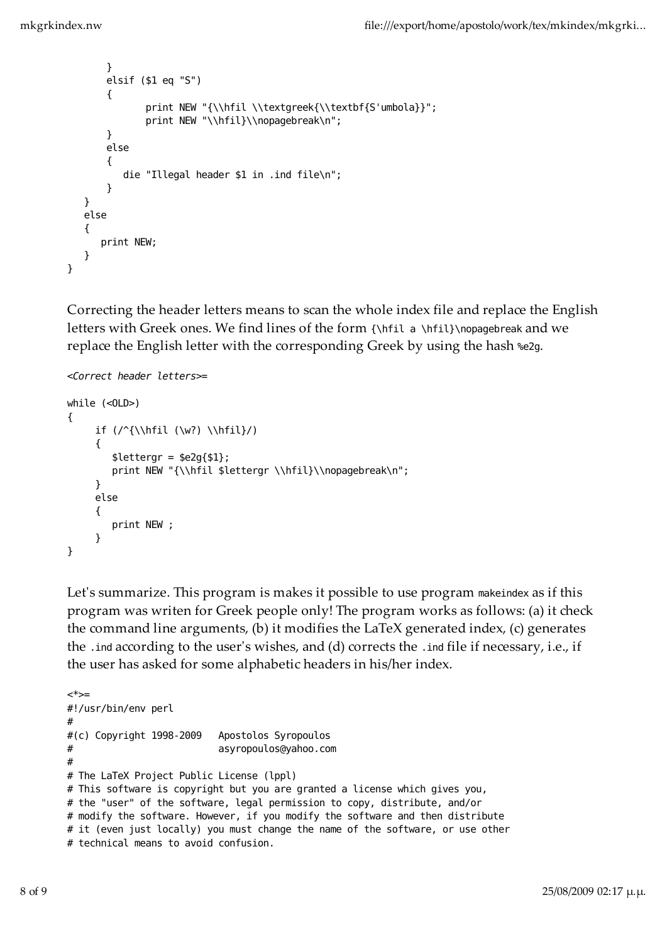```
 }
        elsif ($1 eq "S")
         {
               print NEW "{\\hfil \\textgreek{\\textbf{S'umbola}}";
               print NEW "\\hfil}\\nopagebreak\n";
        }
        else
         {
            die "Illegal header $1 in .ind file\n";
         }
    }
    else
    {
       print NEW;
    }
}
```
Correcting the header letters means to scan the whole index file and replace the English letters with Greek ones. We find lines of the form {\hfil a \hfil}\nopagebreak and we replace the English letter with the corresponding Greek by using the hash %e2g.

```
<Correct header letters>=
```

```
while (<OLD>)
{
      if (\sqrt{\hbaril} (\w2) \hbaril)/ {
         $lettergr = $e2g{$1}$;print NEW "{\\hfil $lettergr \\hfil}\\nopagebreak\n";
       }
      else
      \mathcal{L} print NEW ;
       }
}
```
Let's summarize. This program is makes it possible to use program makeindex as if this program was writen for Greek people only! The program works as follows: (a) it check the command line arguments, (b) it modifies the LaTeX generated index, (c) generates the .ind according to the userʹs wishes, and (d) corrects the .ind file if necessary, i.e., if the user has asked for some alphabetic headers in his/her index.

```
<*>=
#!/usr/bin/env perl
#
#(c) Copyright 1998-2009 Apostolos Syropoulos
# asyropoulos@yahoo.com
#
# The LaTeX Project Public License (lppl) 
# This software is copyright but you are granted a license which gives you,
# the "user" of the software, legal permission to copy, distribute, and/or 
# modify the software. However, if you modify the software and then distribute 
# it (even just locally) you must change the name of the software, or use other 
# technical means to avoid confusion.
```